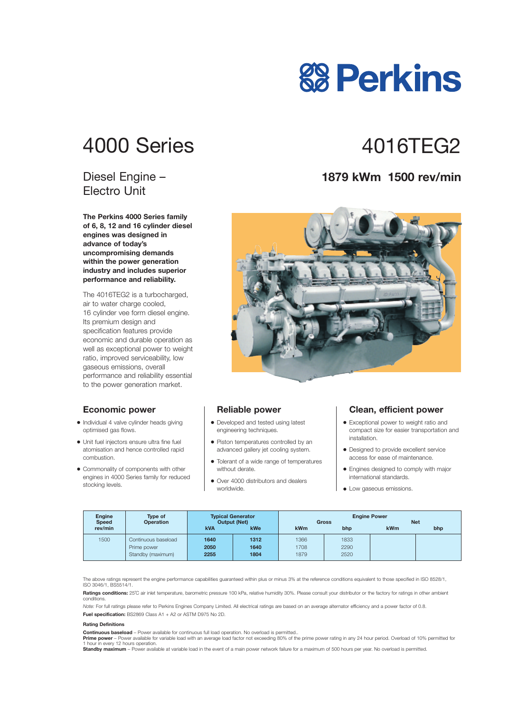# 4000 Series 4016TFG2

### Diesel Engine – Electro Unit

**The Perkins 4000 Series family of 6, 8, 12 and 16 cylinder diesel engines was designed in advance of today's uncompromising demands within the power generation industry and includes superior performance and reliability.**

The 4016TEG2 is a turbocharged, air to water charge cooled, 16 cylinder vee form diesel engine. Its premium design and specification features provide economic and durable operation as well as exceptional power to weight ratio, improved serviceability, low gaseous emissions, overall performance and reliability essential to the power generation market.

#### **Economic power**

- **•** Individual 4 valve cylinder heads giving optimised gas flows.
- **•** Unit fuel injectors ensure ultra fine fuel atomisation and hence controlled rapid combustion.
- **•** Commonality of components with other engines in 4000 Series family for reduced stocking levels.

#### **Reliable power**

- **•** Developed and tested using latest engineering techniques.
- **•** Piston temperatures controlled by an advanced gallery jet cooling system.
- **•** Tolerant of a wide range of temperatures without derate.
- **•** Over 4000 distributors and dealers worldwide.

#### **Clean, efficient power**

- **•** Exceptional power to weight ratio and compact size for easier transportation and installation.
- **•** Designed to provide excellent service access for ease of maintenance.
- **•** Engines designed to comply with major international standards.
- **•** Low gaseous emissions.

| <b>Engine</b><br><b>Speed</b> | <b>Type of</b><br><b>Operation</b> | <b>Typical Generator</b><br><b>Output (Net)</b> |      | <b>Engine Power</b><br><b>Net</b><br><b>Gross</b> |      |     |     |
|-------------------------------|------------------------------------|-------------------------------------------------|------|---------------------------------------------------|------|-----|-----|
| rev/min                       |                                    | <b>kVA</b>                                      | kWe  | kWm                                               | bhp  | kWm | bhp |
| 1500                          | Continuous baseload                | 1640                                            | 1312 | 1366                                              | 1833 |     |     |
|                               | Prime power                        | 2050                                            | 1640 | 1708                                              | 2290 |     |     |
|                               | Standby (maximum)                  | 2255                                            | 1804 | 1879                                              | 2520 |     |     |

The above ratings represent the engine performance capabilities guaranteed within plus or minus 3% at the reference conditions equivalent to those specified in ISO 8528/1, ISO 3046/1, BS5514/1.

**Ratings conditions:** 25°C air inlet temperature, barometric pressure 100 kPa, relative humidity 30%. Please consult your distributor or the factory for ratings in other ambient conditions.

*Note:* For full ratings please refer to Perkins Engines Company Limited. All electrical ratings are based on an average alternator efficiency and a power factor of 0.8. **Fuel specification:** BS2869 Class A1 + A2 or ASTM D975 No 2D.

#### **Rating Definitions**

**Continuous baseload** – Power available for continuous full load operation. No overload is permitted..

Prime power - Power available for variable load with an average load factor not exceeding 80% of the prime power rating in any 24 hour period. Overload of 10% permitted for 1 hour in every 12 hours operation.

**Standby maximum** – Power available at variable load in the event of a main power network failure for a maximum of 500 hours per year. No overload is permitted.

### **1879 kWm 1500 rev/min**